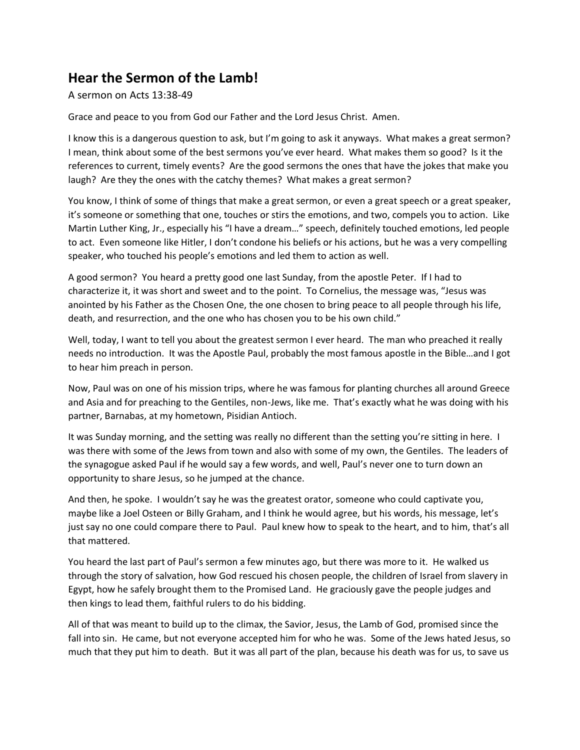## **Hear the Sermon of the Lamb!**

## A sermon on Acts 13:38-49

Grace and peace to you from God our Father and the Lord Jesus Christ. Amen.

I know this is a dangerous question to ask, but I'm going to ask it anyways. What makes a great sermon? I mean, think about some of the best sermons you've ever heard. What makes them so good? Is it the references to current, timely events? Are the good sermons the ones that have the jokes that make you laugh? Are they the ones with the catchy themes? What makes a great sermon?

You know, I think of some of things that make a great sermon, or even a great speech or a great speaker, it's someone or something that one, touches or stirs the emotions, and two, compels you to action. Like Martin Luther King, Jr., especially his "I have a dream…" speech, definitely touched emotions, led people to act. Even someone like Hitler, I don't condone his beliefs or his actions, but he was a very compelling speaker, who touched his people's emotions and led them to action as well.

A good sermon? You heard a pretty good one last Sunday, from the apostle Peter. If I had to characterize it, it was short and sweet and to the point. To Cornelius, the message was, "Jesus was anointed by his Father as the Chosen One, the one chosen to bring peace to all people through his life, death, and resurrection, and the one who has chosen you to be his own child."

Well, today, I want to tell you about the greatest sermon I ever heard. The man who preached it really needs no introduction. It was the Apostle Paul, probably the most famous apostle in the Bible…and I got to hear him preach in person.

Now, Paul was on one of his mission trips, where he was famous for planting churches all around Greece and Asia and for preaching to the Gentiles, non-Jews, like me. That's exactly what he was doing with his partner, Barnabas, at my hometown, Pisidian Antioch.

It was Sunday morning, and the setting was really no different than the setting you're sitting in here. I was there with some of the Jews from town and also with some of my own, the Gentiles. The leaders of the synagogue asked Paul if he would say a few words, and well, Paul's never one to turn down an opportunity to share Jesus, so he jumped at the chance.

And then, he spoke. I wouldn't say he was the greatest orator, someone who could captivate you, maybe like a Joel Osteen or Billy Graham, and I think he would agree, but his words, his message, let's just say no one could compare there to Paul. Paul knew how to speak to the heart, and to him, that's all that mattered.

You heard the last part of Paul's sermon a few minutes ago, but there was more to it. He walked us through the story of salvation, how God rescued his chosen people, the children of Israel from slavery in Egypt, how he safely brought them to the Promised Land. He graciously gave the people judges and then kings to lead them, faithful rulers to do his bidding.

All of that was meant to build up to the climax, the Savior, Jesus, the Lamb of God, promised since the fall into sin. He came, but not everyone accepted him for who he was. Some of the Jews hated Jesus, so much that they put him to death. But it was all part of the plan, because his death was for us, to save us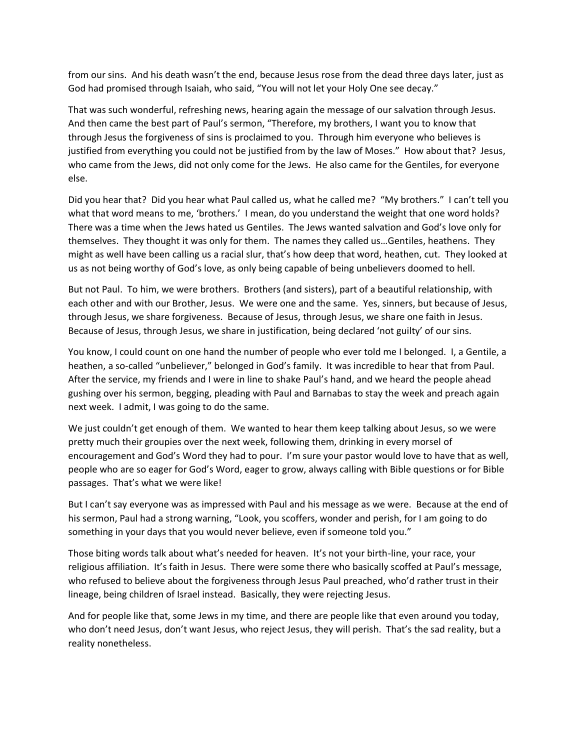from our sins. And his death wasn't the end, because Jesus rose from the dead three days later, just as God had promised through Isaiah, who said, "You will not let your Holy One see decay."

That was such wonderful, refreshing news, hearing again the message of our salvation through Jesus. And then came the best part of Paul's sermon, "Therefore, my brothers, I want you to know that through Jesus the forgiveness of sins is proclaimed to you. Through him everyone who believes is justified from everything you could not be justified from by the law of Moses." How about that? Jesus, who came from the Jews, did not only come for the Jews. He also came for the Gentiles, for everyone else.

Did you hear that? Did you hear what Paul called us, what he called me? "My brothers." I can't tell you what that word means to me, 'brothers.' I mean, do you understand the weight that one word holds? There was a time when the Jews hated us Gentiles. The Jews wanted salvation and God's love only for themselves. They thought it was only for them. The names they called us…Gentiles, heathens. They might as well have been calling us a racial slur, that's how deep that word, heathen, cut. They looked at us as not being worthy of God's love, as only being capable of being unbelievers doomed to hell.

But not Paul. To him, we were brothers. Brothers (and sisters), part of a beautiful relationship, with each other and with our Brother, Jesus. We were one and the same. Yes, sinners, but because of Jesus, through Jesus, we share forgiveness. Because of Jesus, through Jesus, we share one faith in Jesus. Because of Jesus, through Jesus, we share in justification, being declared 'not guilty' of our sins.

You know, I could count on one hand the number of people who ever told me I belonged. I, a Gentile, a heathen, a so-called "unbeliever," belonged in God's family. It was incredible to hear that from Paul. After the service, my friends and I were in line to shake Paul's hand, and we heard the people ahead gushing over his sermon, begging, pleading with Paul and Barnabas to stay the week and preach again next week. I admit, I was going to do the same.

We just couldn't get enough of them. We wanted to hear them keep talking about Jesus, so we were pretty much their groupies over the next week, following them, drinking in every morsel of encouragement and God's Word they had to pour. I'm sure your pastor would love to have that as well, people who are so eager for God's Word, eager to grow, always calling with Bible questions or for Bible passages. That's what we were like!

But I can't say everyone was as impressed with Paul and his message as we were. Because at the end of his sermon, Paul had a strong warning, "Look, you scoffers, wonder and perish, for I am going to do something in your days that you would never believe, even if someone told you."

Those biting words talk about what's needed for heaven. It's not your birth-line, your race, your religious affiliation. It's faith in Jesus. There were some there who basically scoffed at Paul's message, who refused to believe about the forgiveness through Jesus Paul preached, who'd rather trust in their lineage, being children of Israel instead. Basically, they were rejecting Jesus.

And for people like that, some Jews in my time, and there are people like that even around you today, who don't need Jesus, don't want Jesus, who reject Jesus, they will perish. That's the sad reality, but a reality nonetheless.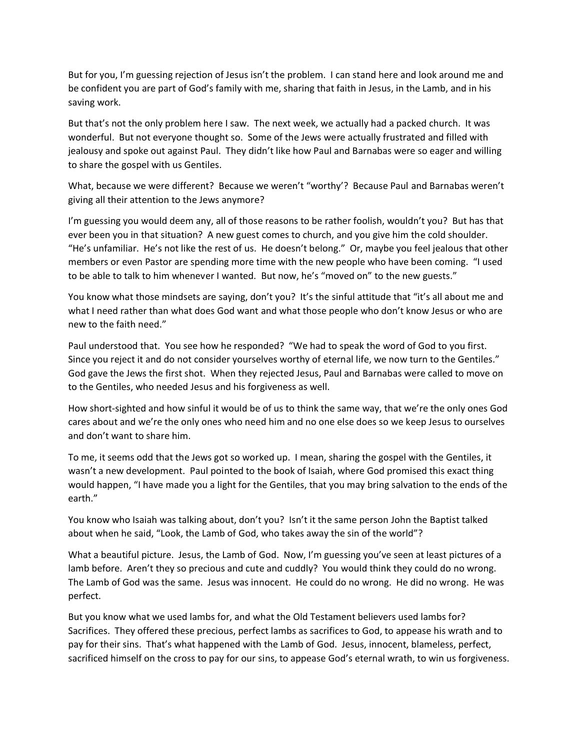But for you, I'm guessing rejection of Jesus isn't the problem. I can stand here and look around me and be confident you are part of God's family with me, sharing that faith in Jesus, in the Lamb, and in his saving work.

But that's not the only problem here I saw. The next week, we actually had a packed church. It was wonderful. But not everyone thought so. Some of the Jews were actually frustrated and filled with jealousy and spoke out against Paul. They didn't like how Paul and Barnabas were so eager and willing to share the gospel with us Gentiles.

What, because we were different? Because we weren't "worthy'? Because Paul and Barnabas weren't giving all their attention to the Jews anymore?

I'm guessing you would deem any, all of those reasons to be rather foolish, wouldn't you? But has that ever been you in that situation? A new guest comes to church, and you give him the cold shoulder. "He's unfamiliar. He's not like the rest of us. He doesn't belong." Or, maybe you feel jealous that other members or even Pastor are spending more time with the new people who have been coming. "I used to be able to talk to him whenever I wanted. But now, he's "moved on" to the new guests."

You know what those mindsets are saying, don't you? It's the sinful attitude that "it's all about me and what I need rather than what does God want and what those people who don't know Jesus or who are new to the faith need."

Paul understood that. You see how he responded? "We had to speak the word of God to you first. Since you reject it and do not consider yourselves worthy of eternal life, we now turn to the Gentiles." God gave the Jews the first shot. When they rejected Jesus, Paul and Barnabas were called to move on to the Gentiles, who needed Jesus and his forgiveness as well.

How short-sighted and how sinful it would be of us to think the same way, that we're the only ones God cares about and we're the only ones who need him and no one else does so we keep Jesus to ourselves and don't want to share him.

To me, it seems odd that the Jews got so worked up. I mean, sharing the gospel with the Gentiles, it wasn't a new development. Paul pointed to the book of Isaiah, where God promised this exact thing would happen, "I have made you a light for the Gentiles, that you may bring salvation to the ends of the earth."

You know who Isaiah was talking about, don't you? Isn't it the same person John the Baptist talked about when he said, "Look, the Lamb of God, who takes away the sin of the world"?

What a beautiful picture. Jesus, the Lamb of God. Now, I'm guessing you've seen at least pictures of a lamb before. Aren't they so precious and cute and cuddly? You would think they could do no wrong. The Lamb of God was the same. Jesus was innocent. He could do no wrong. He did no wrong. He was perfect.

But you know what we used lambs for, and what the Old Testament believers used lambs for? Sacrifices. They offered these precious, perfect lambs as sacrifices to God, to appease his wrath and to pay for their sins. That's what happened with the Lamb of God. Jesus, innocent, blameless, perfect, sacrificed himself on the cross to pay for our sins, to appease God's eternal wrath, to win us forgiveness.